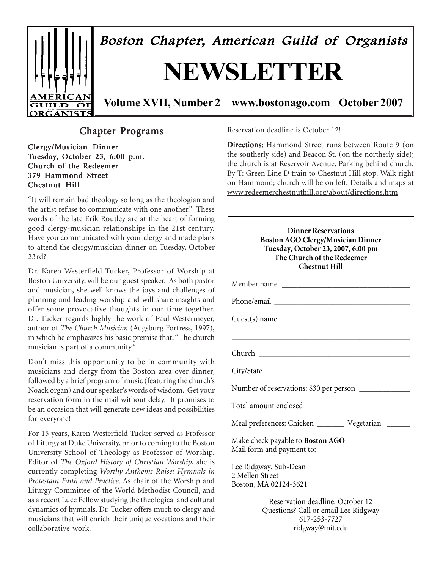

Boston Chapter, American Guild of Organists

# **NEWSLETTER**

**Volume XVII, Number 2 www.bostonago.com October 2007**

# Chapter Programs

Clergy/Musician Dinner Tuesday, October 23, 6:00 p.m. Church of the Redeemer 379 Hammond Street Chestnut Hill

"It will remain bad theology so long as the theologian and the artist refuse to communicate with one another." These words of the late Erik Routley are at the heart of forming good clergy-musician relationships in the 21st century. Have you communicated with your clergy and made plans to attend the clergy/musician dinner on Tuesday, October 23rd?

Dr. Karen Westerfield Tucker, Professor of Worship at Boston University, will be our guest speaker. As both pastor and musician, she well knows the joys and challenges of planning and leading worship and will share insights and offer some provocative thoughts in our time together. Dr. Tucker regards highly the work of Paul Westermeyer, author of *The Church Musician* (Augsburg Fortress, 1997), in which he emphasizes his basic premise that, "The church musician is part of a community."

Don't miss this opportunity to be in community with musicians and clergy from the Boston area over dinner, followed by a brief program of music (featuring the church's Noack organ) and our speaker's words of wisdom. Get your reservation form in the mail without delay. It promises to be an occasion that will generate new ideas and possibilities for everyone!

For 15 years, Karen Westerfield Tucker served as Professor of Liturgy at Duke University, prior to coming to the Boston University School of Theology as Professor of Worship. Editor of *The Oxford History of Christian Worship*, she is currently completing *Worthy Anthems Raise: Hymnals in Protestant Faith and Practice*. As chair of the Worship and Liturgy Committee of the World Methodist Council, and as a recent Luce Fellow studying the theological and cultural dynamics of hymnals, Dr. Tucker offers much to clergy and musicians that will enrich their unique vocations and their collaborative work.

Reservation deadline is October 12!

Directions: Hammond Street runs between Route 9 (on the southerly side) and Beacon St. (on the northerly side); the church is at Reservoir Avenue. Parking behind church. By T: Green Line D train to Chestnut Hill stop. Walk right on Hammond; church will be on left. Details and maps at www.redeemerchestnuthill.org/about/directions.htm

| <b>Dinner Reservations</b><br><b>Boston AGO Clergy/Musician Dinner</b><br>Tuesday, October 23, 2007, 6:00 pm<br>The Church of the Redeemer<br><b>Chestnut Hill</b> |
|--------------------------------------------------------------------------------------------------------------------------------------------------------------------|
|                                                                                                                                                                    |
|                                                                                                                                                                    |
| Guest(s) name                                                                                                                                                      |
|                                                                                                                                                                    |
|                                                                                                                                                                    |
|                                                                                                                                                                    |
| Number of reservations: \$30 per person                                                                                                                            |
|                                                                                                                                                                    |
| Meal preferences: Chicken ___________ Vegetarian _______                                                                                                           |
| Make check payable to Boston AGO<br>Mail form and payment to:                                                                                                      |
| Lee Ridgway, Sub-Dean<br>2 Mellen Street<br>Boston, MA 02124-3621                                                                                                  |
| Reservation deadline: October 12<br>Questions? Call or email Lee Ridgway<br>617-253-7727<br>ridgway@mit.edu                                                        |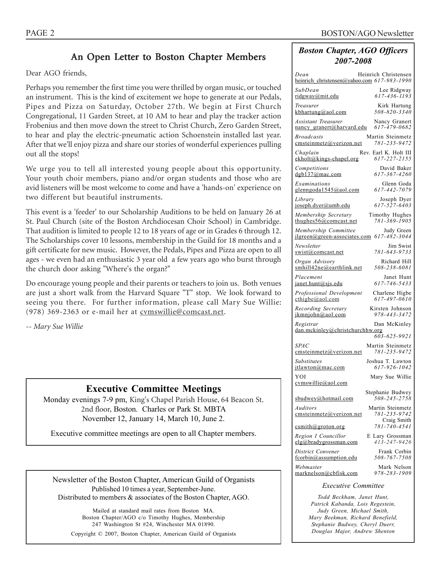# An Open Letter to Boston Chapter Members

Dear AGO friends,

Perhaps you remember the first time you were thrilled by organ music, or touched an instrument. This is the kind of excitement we hope to generate at our Pedals, Pipes and Pizza on Saturday, October 27th. We begin at First Church Congregational, 11 Garden Street, at 10 AM to hear and play the tracker action Frobenius and then move down the street to Christ Church, Zero Garden Street, to hear and play the electric-pneumatic action Schoenstein installed last year. After that we'll enjoy pizza and share our stories of wonderful experiences pulling out all the stops!

We urge you to tell all interested young people about this opportunity. Your youth choir members, piano and/or organ students and those who are avid listeners will be most welcome to come and have a 'hands-on' experience on two different but beautiful instruments.

This event is a 'feeder' to our Scholarship Auditions to be held on January 26 at St. Paul Church (site of the Boston Archdiocesan Choir School) in Cambridge. That audition is limited to people 12 to 18 years of age or in Grades 6 through 12. The Scholarships cover 10 lessons, membership in the Guild for 18 months and a gift certificate for new music. However, the Pedals, Pipes and Pizza are open to all ages - we even had an enthusiastic 3 year old a few years ago who burst through the church door asking "Where's the organ?"

Do encourage young people and their parents or teachers to join us. Both venues are just a short walk from the Harvard Square "T" stop. We look forward to seeing you there. For further information, please call Mary Sue Willie: (978) 369-2363 or e-mail her at cvmswillie@comcast.net.

*-- Mary Sue Willie*

### **Executive Committee Meetings**

Monday evenings 7-9 pm, King's Chapel Parish House, 64 Beacon St. 2nd floor, Boston. Charles or Park St. MBTA November 12, January 14, March 10, June 2.

Executive committee meetings are open to all Chapter members.

Newsletter of the Boston Chapter, American Guild of Organists Published 10 times a year, September-June. Distributed to members & associates of the Boston Chapter, AGO.

Mailed at standard mail rates from Boston MA. Boston Chapter/AGO c/o Timothy Hughes, Membership 247 Washington St #24, Winchester MA 01890. Copyright © 2007, Boston Chapter, American Guild of Organists

### *Boston Chapter, AGO Officers 2007-2008*

| Dean<br>Heinrich Christensen                                                                |
|---------------------------------------------------------------------------------------------|
| heinrich christensen@yahoo.com 617-983-1990<br>SubDean<br>Lee Ridgway                       |
| 617-436-1193<br>ridgway@mit.edu                                                             |
| Kirk Hartung<br>Treasurer<br>508-820-3340<br>kbhartung@aol.com                              |
| Assistant Treasurer<br>Nancy Granert<br>617-479-0682<br>nancy_granert@harvard.edu           |
| <b>Broadcasts</b><br>Martin Steinmetz<br>781-235-9472<br>emsteinmetz@verizon.net            |
| Rev. Earl K. Holt III<br>Chaplain<br>ekholt@kings-chapel.org<br>617-227-2155                |
| David Baker<br>Competitions<br>617-367-4260<br>$d$ gb137@mac.com                            |
| Glenn Goda<br>Examinations<br>glenngoda1545@aol.com<br>617-442-7079                         |
| Library<br>Joseph Dyer<br>617-527-6403<br>joseph.dyer@umb.edu                               |
| Membership Secretary<br>Timothy Hughes<br>781-369-1905<br>thughes $56@$ comcast.net         |
| Membership Committee<br>Judy Green<br>617-482-3044<br>$ilgreen(\omega$ green-associates.com |
| Newsletter<br>Jim Swist<br>781-643-9733<br>swist@comcast.net                                |
| Richard Hill<br>Organ Advisorv<br>smhill42ne@earthlink.net<br>508-238-6081                  |
| Placement<br>Janet Hunt<br>617-746-5433<br>janet.hunt@sjs.edu                               |
| Professional Development<br>Charlene Higbe<br>617-497-0610<br>$\text{cthigbe}(a)$ aol.com   |
| Recording Secretary<br>Kirsten Johnson<br>978-443-3472<br>jkmnjohn@aol.com                  |
| Registrar<br>Dan McKinley<br>dan.mckinley@christchurchhw.org                                |
| 603-625-9921                                                                                |
| <b>SPAC</b><br>Martin Steinmetz<br>781-235-9472<br>emsteinmetz@verizon.net                  |
| Joshua T. Lawton<br>Substitutes<br>617-926-1042<br>itlawton@mac.com                         |
| YOI<br>Mary Sue Willie<br>cymswillie@aol.com                                                |
| Stephanie Budwey                                                                            |
| 508-245-2758<br>sbudwey@hotmail.com                                                         |
| Martin Steinmetz<br>Auditors<br>781-235-9742<br>emsteinmetz@verizon.net<br>Craig Smith      |
| 781-740-4541<br>$c$ smith@groton.org                                                        |
| Region I Councillor<br>E Lary Grossman<br>413-247-9426<br>elg@bradvgrossman.com             |
| Frank Corbin<br>District Convener<br>508-767-7508<br>fcorbin@assumption.edu                 |
| Mark Nelson<br>Webmaster<br>978-283-1909<br>marknelson@cbfisk.com                           |
| <b>Executive Committee</b>                                                                  |
| Todd Beckham, Janet Hunt,<br>$D$ atuiak $V$ ahanda                                          |

*Patrick Kabanda, Lois Regestein, Judy Green, Michael Smith, Mary Beekman, Richard Benefield, Stephanie Budwey, Cheryl Duerr, Douglas Major, Andrew Shenton*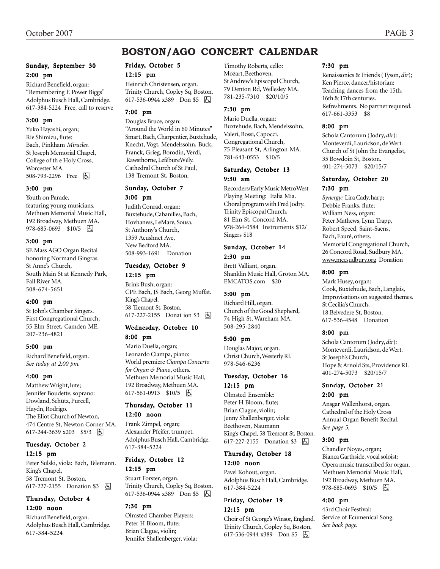# **BOSTON/AGO CONCERT CALENDAR**

#### Sunday, September 30 2:00 pm

Richard Benefield, organ: "Remembering E Power Biggs" Adolphus Busch Hall, Cambridge. 617-384-5224 Free, call to reserve

#### 3:00 pm

Yuko Hayashi, organ; Rie Shimizu, flute: Bach, Pinkham *Miracles.* St Joseph Memorial Chapel, College of th e Holy Cross, Worcester MA. 508-793-2296 Free 因

#### 3:00 pm

Youth on Parade, featuring young musicians. Methuen Memorial Music Hall, 192 Broadway, Methuen MA. 978-685-0693 \$10/5 因

#### 3:00 pm

SE Mass AGO Organ Recital honoring Normand Gingras. St Anne's Church, South Main St at Kennedy Park, Fall River MA. 508-674-5651

#### 4:00 pm

St John's Chamber Singers. First Congregational Church, 55 Elm Street, Camden ME. 207-236-4821

#### 5:00 pm

Richard Benefield, organ. *See today at 2:00 pm.*

#### 4:00 pm

Matthew Wright, lute; Jennifer Boudette, soprano: Dowland, Schütz, Purcell, Haydn, Rodrigo. The Eliot Church of Newton, 474 Centre St, Newton Corner MA. 617-244-3639 x203 \$5/3 因

#### Tuesday, October 2 12:15 pm

Peter Sulski, viola: Bach, Telemann. King's Chapel, 58 Tremont St, Boston. 617-227-2155 Donation \$3 **b** 

#### Thursday, October 4 12:00 noon

Richard Benefield, organ. Adolphus Busch Hall, Cambridge. 617-384-5224

## Friday, October 5

#### 12:15 pm

Heinrich Christensen, organ. Trinity Church, Copley Sq, Boston. 617-536-0944 x389 Don \$5 囚

#### 7:00 pm

Douglas Bruce, organ: "Around the World in 60 Minutes" Smart, Bach, Charpentier, Buxtehude, Knecht, Vogt, Mendelssohn, Buck, Franck, Grieg, Borodin, Verdi, Rawsthorne, LefébureWély. Cathedral Church of St Paul, 138 Tremont St, Boston.

#### Sunday, October 7

3:00 pm

Judith Conrad, organ: Buxtehude, Cabanilles, Bach, Hovhaness, LeMare, Sousa. St Anthony's Church, 1359 Acushnet Ave, New Bedford MA. 508-993-1691 Donation

### Tuesday, October 9

#### 12:15 pm

Brink Bush, organ: CPE Bach, JS Bach, Georg Muffat. King's Chapel, 58 Tremont St, Boston. 617-227-2155 Donat ion \$3 因

#### Wednesday, October 10 8:00 pm

Mario Duella, organ; Leonardo Ciampa, piano: World premiere *Ciampa Concerto for Organ & Piano*, others. Methuen Memorial Music Hall, 192 Broadway, Methuen MA. 617-561-0913 \$10/5 | A

#### Thursday, October 11 12:00 noon

Frank Zimpel, organ; Alexander Pfeifer, trumpet. Adolphus Busch Hall, Cambridge. 617-384-5224

#### Friday, October 12 12:15 pm

Stuart Forster, organ. Trinity Church, Copley Sq, Boston. 617-536-0944 x389 Don \$5 因

#### 7:30 pm

Olmsted Chamber Players: Peter H Bloom, flute; Brian Clague, violin; Jennifer Shallenberger, viola; Timothy Roberts, cello: Mozart, Beethoven. St Andrew's Episcopal Church, 79 Denton Rd, Wellesley MA. 781-235-7310 \$20/10/5

#### 7:30 pm

Mario Duella, organ: Buxtehude, Bach, Mendelssohn, Valeri, Bossi, Capocci. Congregational Church, 75 Pleasant St, Arlington MA. 781-643-0553 \$10/5

#### Saturday, October 13 9:30 am

Recorders/Early Music MetroWest Playing Meeting: Italia Mia. Choral program with Fred Jodry. Trinity Episcopal Church, 81 Elm St, Concord MA. 978-264-0584 Instruments \$12/ Singers \$18

#### Sunday, October 14 2:30 pm

Brett Valliant, organ. Shanklin Music Hall, Groton MA. EMCATOS.com \$20

#### 3:00 pm

Richard Hill, organ. Church of the Good Shepherd, 74 High St, Wareham MA. 508-295-2840

#### 5:00 pm

Douglas Major, organ. Christ Church, Westerly RI. 978-546-6236

#### Tuesday, October 16 12:15 pm

Olmsted Ensemble: Peter H Bloom, flute; Brian Clague, violin; Jenny Shallenberger, viola: Beethoven, Naumann King's Chapel, 58 Tremont St, Boston. 617-227-2155 Donation \$3 **b** 

#### Thursday, October 18 12:00 noon

Pavel Kohout, organ. Adolphus Busch Hall, Cambridge. 617-384-5224

#### Friday, October 19 12:15 pm

Choir of St George's Winsor, England. Trinity Church, Copley Sq, Boston. 617-536-0944 x389 Don \$5 囚

#### 7:30 pm

Renaissonics & Friends (Tyson, *dir*); Ken Pierce, dancer/historian: Teaching dances from the 15th, 16th & 17th centuries. Refreshments. No partner required. 617-661-3353 \$8

#### 8:00 pm

Schola Cantorum (Jodry, *dir*): Monteverdi, Lauridson, de Wert. Church of St John the Evangelist, 35 Bowdoin St, Boston. 401-274-5073 \$20/15/7

#### Saturday, October 20 7:30 pm

*Synergy:* Lira Cady, harp; Debbie Franks, flute; William Ness, organ: Peter Mathews, Lynn Trapp, Robert Speed, Saint-Saëns, Bach, Fauré, others. Memorial Congregational Church, 26 Concord Road, Sudbury MA. www.mccsudbury.org Donation

#### 8:00 pm

Mark Husey, organ: Cook, Buxtehude, Bach, Langlais, Improvisations on suggested themes. St Cecilia's Church, 18 Belvedere St, Boston. 617-536-4548 Donation

#### 8:00 pm

Schola Cantorum (Jodry, *dir*): Monteverdi, Lauridson, de Wert. St Joseph's Church, Hope & Arnold Sts, Providence RI. 401-274-5073 \$20/15/7

#### Sunday, October 21 2:00 pm

Ansgar Wallenhorst, organ. Cathedral of the Holy Cross Annual Organ Benefit Recital. *See page 5.*

#### 3:00 pm

Chandler Noyes, organ; Bianca Garthside, vocal soloist: Opera music transcribed for organ. Methuen Memorial Music Hall, 192 Broadway, Methuen MA. 978-685-0693 \$10/5 因

#### 4:00 pm

43rd Choir Festival: Service of Ecumenical Song. *See back page.*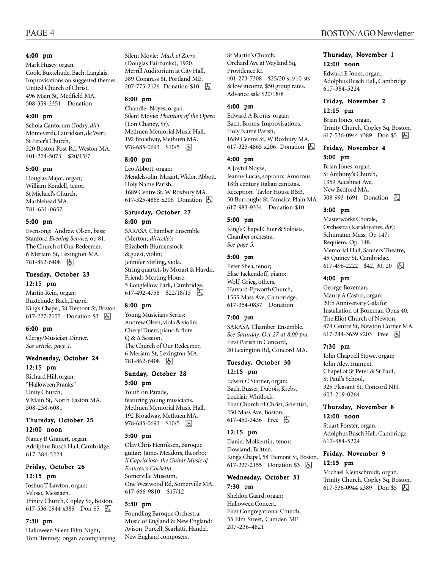#### 4:00 pm

Mark Husey, organ. Cook, Buxtehude, Bach, Langlais, Improvisations on suggested themes. United Church of Christ, 496 Main St, Medfield MA. 508-359-2351 Donation

#### 4:00 pm

Schola Cantorum (Jodry, *dir*): Monteverdi, Lauridson, de Wert. St Peter's Church, 320 Boston Post Rd, Weston MA. 401-274-5073 \$20/15/7

#### 5:00 pm

Douglas Major, organ; William Kendell, tenor. St Michael's Church, Marblehead MA. 781-631-0657

#### 5:00 pm

Evensong: Andrew Olsen, bass: Stanford *Evening Service,* op 81. The Church of Our Redeemer, 6 Meriam St, Lexington MA. 781-862-6408 因

#### Tuesday, October 23 12:15 pm

Martin Rein, organ: Buxtehude, Bach, Dupré. King's Chapel, 58 Tremont St, Boston. 617-227-2155 Donation \$3 h

#### 6:00 pm

Clergy/Musician Dinner. *See article, page 1.*

#### Wednesday, October 24 12:15 pm

Richard Hill, organ: "Halloween Pranks" Unity Church, 9 Main St, North Easton MA. 508-238-6081

#### Thursday, October 25 12:00 noon

Nancy B Granert, organ. Adolphus Busch Hall, Cambridge. 617-384-5224

#### Friday, October 26 12:15 pm

Joshua T Lawton, organ: Veloso, Messiaen. Trinity Church, Copley Sq, Boston. 617-536-0944 x389 Don \$5 h

#### 7:30 pm

Halloween Silent Film Night, Tom Trenney, organ accompanying Silent Movie: *Mask of Zorro* (Douglas Fairbanks), 1920*.* Merrill Auditorium at City Hall, 389 Congress St, Portland ME. 207-775-2126 Donation \$10 h

#### 8:00 pm

Chandler Noyes, organ. Silent Movie: *Phantom of the Opera* (Lon Chaney, Sr). Methuen Memorial Music Hall, 192 Broadway, Methuen MA. 978-685-0693 \$10/5 因

#### 8:00 pm

Leo Abbott, organ: Mendelssohn, Mozart, Widor, Abbott. Holy Name Parish, 1689 Centre St, W Roxbury MA. 617-325-4865 x206 Donation **A** 

### Saturday, October 27

8:00 pm SARASA Chamber Ensemble (Merton, *dir/cello*); Elizabeth Blumenstock & guest, violin; Jennifer Stirling, viola. String quartets by Mozart & Haydn. Friends Meeting House, 5 Longfellow Park, Cambridge. 617-492-4758 \$22/18/13  $\boxed{6}$ 

#### 8:00 pm

Young Musicians Series: Andrew Olsen, viola & violin; Cheryl Duerr, piano & flute. Q & A Session. The Church of Our Redeemer, 6 Meriam St, Lexington MA. 781-862-6408 因

#### Sunday, October 28 3:00 pm

Youth on Parade, featuring young musicians. Methuen Memorial Music Hall, 192 Broadway, Methuen MA. 978-685-0693 \$10/5 6

#### 3:00 pm

Olav Chris Henriksen, Baroque guitar; James Meadors, theorbo: *Il Capriccioso: the Guitar Music of Francesco Corbetta.* Somerville Museum, One Westwood Rd, Somerville MA. 617-666-9810 \$17/12

#### 3:30 pm

Foundling Baroque Orchestra: Music of England & New England: Avison, Purcell, Scarlatti, Handel, New England composers.

St Martin's Church, Orchard Ave at Wayland Sq, Providence RI. 401-273-7308 \$25/20 srs/10 sts & low income, \$50 group rates. Advance sale \$20/18/8

#### 4:00 pm

Edward A Broms, organ: Bach, Broms, Improvisations. Holy Name Parish, 1689 Centre St, W Roxbury MA. 617-325-4865 x206 Donation **囚** 

#### 4:00 pm

A Joyful Noyse; Jeanne Lucas, soprano: Amorous 18th century Italian cantatas. Reception. Taylor House B&B, 50 Burroughs St, Jamaica Plain MA. 617-983-9334 Donation \$10

#### 5:00 pm

King's Chapel Choir & Soloists, Chamber orchestra. *See page 5.*

#### 5:00 pm

Peter Shea, tenor; Elise Jackendoff, piano: Wolf, Grieg, others. Harvard-Epworth Church, 1555 Mass Ave, Cambridge. 617-354-0837 Donation

#### 7:00 pm

SARASA Chamber Ensemble. *See Saturday, Oct 27 at 8:00 pm.* First Parish in Concord, 20 Lexington Rd, Concord MA.

#### Tuesday, October 30 12:15 pm

Edwin C Starner, organ: Bach, Busser, Dubois, Krebs, Locklair, Whitlock. First Church of Christ, Scientist, 250 Mass Ave, Boston. 617-450-3436 Free **b** 

#### 12:15 pm

Daniel Molkentin, tenor: Dowland, Britten. King's Chapel, 58 Tremont St, Boston. 617-227-2155 Donation \$3 | A

#### Wednesday, October 31 7:30 pm

Sheldon Gaard, organ: Halloween Concert. First Congregational Church, 55 Elm Street, Camden ME. 207-236-4821

#### Thursday, November 1 12:00 noon

Edward E Jones, organ. Adolphus Busch Hall, Cambridge. 617-384-5224

#### Friday, November 2 12:15 pm

Brian Jones, organ. Trinity Church, Copley Sq, Boston. 617-536-0944 x389 Don \$5 因

#### Friday, November 4 3:00 pm

Brian Jones, organ. St Anthony's Church, 1359 Acushnet Ave, New Bedford MA. 508-993-1691 Donation  $\Box$ 

#### 3:00 pm

Masterworks Chorale, Orchestra (Karidoyanes, *dir*): Schumann Mass, Op 147; Requiem, Op. 148. Memorial Hall, Sanders Theatre, 45 Quincy St, Cambridge. 617-496-2222 \$42, 30, 20 | 大

#### 4:00 pm

George Bozeman, Maury A Castro, organ: 20th Anniversary Gala for Installation of Bozeman Opus 40. The Eliot Church of Newton, 474 Centre St, Newton Corner MA. 617-244-3639 x203 Free [5]

#### 7:30 pm

John Chappell Stowe, organ; John Aley, trumpet. Chapel of St Peter & St Paul, St Paul's School, 325 Pleasant St, Concord NH. 603-219-0264

#### Thursday, November 8 12:00 noon

Stuart Forster, organ. Adolphus Busch Hall, Cambridge. 617-384-5224

#### Friday, November 9 12:15 pm

Michael Kleinschmidt, organ. Trinity Church, Copley Sq, Boston. 617-536-0944 x389 Don \$5 因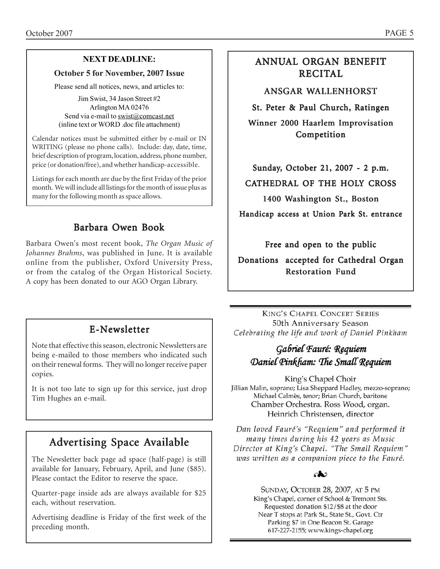# **NEXT DEADLINE:**

### **October 5 for November, 2007 Issue**

Please send all notices, news, and articles to:

Jim Swist, 34 Jason Street #2 Arlington MA 02476 Send via e-mail to swist@comcast.net (inline text or WORD .doc file attachment)

Calendar notices must be submitted either by e-mail or IN WRITING (please no phone calls). Include: day, date, time, brief description of program, location, address, phone number, price (or donation/free), and whether handicap-accessible.

Listings for each month are due by the first Friday of the prior month. We will include all listings for the month of issue plus as many for the following month as space allows.

# Barbara Owen Book

Barbara Owen's most recent book, *The Organ Music of Johannes Brahms*, was published in June. It is available online from the publisher, Oxford University Press, or from the catalog of the Organ Historical Society. A copy has been donated to our AGO Organ Library.

# ANNUAL ORGAN BENEFIT RECITAL

ANSGAR WALLENHORST

St. Peter & Paul Church, Ratingen

Winner 2000 Haarlem Improvisation Competition

Sunday, October 21, 2007 - 2 p.m.

CATHEDRAL OF THE HOLY CROSS

1400 Washington St., Boston

Handicap access at Union Park St. entrance

Free and open to the public

Donations accepted for Cathedral Organ Restoration Fund

# E-Newsletter

Note that effective this season, electronic Newsletters are being e-mailed to those members who indicated such on their renewal forms. They will no longer receive paper copies.

It is not too late to sign up for this service, just drop Tim Hughes an e-mail.

# Advertising Space Available

The Newsletter back page ad space (half-page) is still available for January, February, April, and June (\$85). Please contact the Editor to reserve the space.

Quarter-page inside ads are always available for \$25 each, without reservation.

Advertising deadline is Friday of the first week of the preceding month.

**KING'S CHAPEL CONCERT SERIES** 50th Anniversary Season Celebrating the life and work of Daniel Pinkham

# Gabriel Fauré: Requiem Daniel Pinkham: The Small Requiem

King's Chapel Choir Jillian Malin, soprano; Lisa Sheppard Hadley, mezzo-soprano; Michael Calmès, tenor; Brian Church, baritone Chamber Orchestra. Ross Wood, organ. Heinrich Christensen, director

Dan loved Fauré's "Requiem" and performed it many times during his 42 years as Music Director at King's Chapel. "The Small Requiem" was written as a companion piece to the Fauré.

### ക

SUNDAY, OCTOBER 28, 2007, AT 5 PM King's Chapel, corner of School & Tremont Sts. Requested donation \$12/\$8 at the door Near T stops at Park St., State St., Govt. Ctr Parking \$7 in One Beacon St. Garage 617-227-2155; www.kings-chapel.org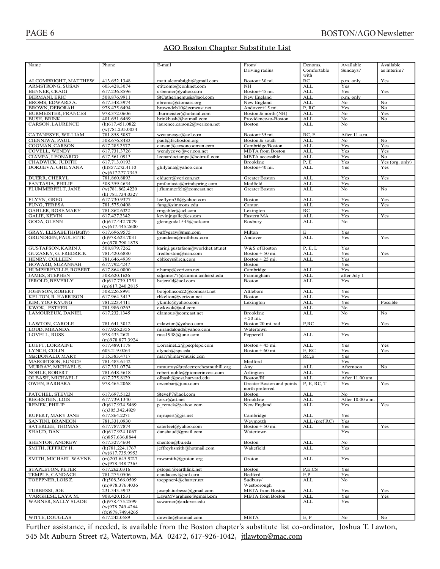### AGO Boston Chapter Substitute List

| Name                                         | Phone                                  | E-mail                                         | From/                        | Denoms.                  | Available        | Available       |
|----------------------------------------------|----------------------------------------|------------------------------------------------|------------------------------|--------------------------|------------------|-----------------|
|                                              |                                        |                                                | Driving radius               | Comfortable              | Sundays?         | as Interim?     |
|                                              |                                        |                                                |                              | with                     |                  |                 |
| ALCOMBRIGHT, MATTHEW                         | 413.652.1348                           | matt.alcombright@gmail.com                     | Boston+30 mi.                | RC                       | p.m. only        | Yes             |
| ARMSTRONG, SUSAN                             | 603.428.3074                           | etitcomb@conknet.com                           | NH                           | <b>ALL</b>               | Yes              |                 |
| <b>BENNER, CRAIG</b><br><b>BERMANI. ERIC</b> | 617.236.8596<br>508.876.9911           | csbenner@yahoo.com<br>StCatherinemusic@aol.com | Boston+45 mi.<br>New England | <b>ALL</b><br><b>ALL</b> | Yes<br>p.m. only | Yes             |
| BROMS, EDWARD A.                             | 617.548.3974                           | ebroms@diomass.org                             | New England                  | <b>ALL</b>               | No               | No              |
| <b>BROWN, DEBORAH</b>                        | 978.475.6494                           | browndeb10@comcast.net                         | Andover+15 mi.               | P, RC                    | Yes              | No              |
| <b>BURMEISTER, FRANCES</b>                   | 978.372.0606                           | fburmeister@hotmail.com                        | Boston & north (NH)          | <b>ALL</b>               | No               | Yes             |
| <b>BUSH, BRINK</b>                           | 401.651.6469                           | brinkbush@hotmail.com                          | Providence-to-Boston         | <b>ALL</b>               | No               | No              |
| CARSON, LAURENCE                             | (h)617.451.0822                        | laurence.carson2@verizon.net                   | Boston                       | <b>ALL</b>               | No               |                 |
|                                              | (w)781.235.0034                        |                                                |                              |                          |                  |                 |
| CATANESYE, WILLIAM                           | 781.858.5087                           | wcatanesye@aol.com                             | Boston+35 mi.                | RC, E                    | After 11 a.m.    |                 |
| CIENNIWA, PAUL                               | 508.676.8483                           | paul@fscboston.org                             | Boston & south               | <b>ALL</b>               | No               | No              |
| COOMAN, CARSON                               | 617.285.2577                           | carson@carsoncooman.com                        | Cambridge/Boston             | <b>ALL</b>               | Yes              | Yes             |
| COVELL, WENDY                                | 617.731.3726                           | wendycove@verizon.net                          | <b>MBTA</b> from Boston      | <b>ALL</b>               | Yes              | Yes             |
| CIAMPA, LEONARDO                             | 617.561.0913                           | leonardociampa@hotmail.com                     | MBTA accessible              | <b>ALL</b>               | Yes              | No              |
| CHADWICK, JUDITH                             | 617.713.0193                           |                                                | Brookline                    | P, E                     | Yes              | Yes (org. only) |
| DORJIEVA, GHILYANA                           | (h)857.272.4110                        | ghilyana@yahoo.com                             | Boston+40 mi.                | <b>ALL</b>               | Yes              | Yes             |
|                                              | $(w)$ 617.277.7345                     |                                                |                              |                          |                  |                 |
| DUERR, CHERYL                                | 781.860.8893                           | clduerr@verizon.net                            | <b>Greater Boston</b>        | <b>ALL</b>               | Yes              | Yes             |
| FANTASIA, PHILIP                             | 508.359.4634                           | pmfantasia@mindspring.com                      | Medfield                     | <b>ALL</b>               | Yes              |                 |
| FLUMMERFELT, JANE                            | (w)781.862.4220                        | j.flummerfelt@comcast.net                      | Greater Boston               | <b>ALL</b>               | No               | No              |
|                                              | (h) 781.734.0327                       |                                                |                              |                          |                  |                 |
| FLYYN, GREG                                  | 617.730.9377                           | leeflynn38@yahoo.com                           | Boston                       | ALL                      | Yes              | Yes             |
| FUNG, TERESA                                 | 781.575.0408                           | fung@simmons.edu                               | Canton                       | <b>ALL</b>               | Yes              | Yes             |
| <b>GABLER, ROSE MARY</b>                     | 781.862.6322                           | rmgabler@ad.com                                | Lexington                    | RC                       | Yes              |                 |
| <b>GALIE, KEVIN</b>                          | 617.427.2342                           | keviningalie@cs.com                            | Eastern MA                   | <b>ALL</b>               | Yes              | Yes             |
| GODA, GLENN                                  | (h)617.442.7079                        | glenngoda1545@aol.com                          | Roxbury                      | <b>ALL</b>               | No               |                 |
|                                              | $(w)$ 617.445.2600                     |                                                |                              |                          |                  |                 |
| GRAY, ELISABETH(Buffy)                       | 617.696.9575                           | buffygray@msn.com                              | Milton                       | E                        | Yes              |                 |
| <b>GRUNDEEN, PAULETTE</b>                    | (h)978.623.7031<br>(m)978.790.1878     | grundeen@mathbox.com                           | Andover                      | <b>ALL</b>               | Yes              | Yes             |
| <b>GUSTAFSON, KARIN J.</b>                   | 508.879.7262                           | karinj.gustafson@worldnet.att.net              | W&S of Boston                | P, E, L                  | Yes              |                 |
| <b>GUZASKY, G. FREDRICK</b>                  | 781.420.6880                           | fredboston@msn.com                             | Boston + 50 mi.              | <b>ALL</b>               | Yes              | Yes             |
| HENRY, COLLEEN                               | 781.646.4939                           | cbhkeys@rcn.com                                | Boston + $25$ mi.            | <b>ALL</b>               | Yes              |                 |
| HOWARD, SUZANNAH                             | 617.792.4247                           |                                                | Boston                       |                          | Yes              |                 |
| HUMPHREVILLE, ROBERT                         | 617.864.0800                           | r.hump@verizon.net                             | Cambridge                    | <b>ALL</b>               | Yes              |                 |
| <b>JAMES, STEPHEN</b>                        | 508.620.1626                           | sdjames77@alumni.amherst.edu                   | Framingham                   | <b>ALL</b>               | after July 1     |                 |
| JEROLD, BEVERLY                              | (h)617.739.1751                        | bvjerold@aol.com                               | <b>Boston</b>                | <b>ALL</b>               | Yes              |                 |
|                                              | $(m)$ 617.240.2815                     |                                                |                              |                          |                  |                 |
| JOHNSON, ROBERT                              | 508.226.8991                           | bobjohnson22@comcast.net                       | Attleboro                    | <b>ALL</b>               | Yes              |                 |
| KELTON, R. HARRISON                          | 617.964.3413                           | rhkelton@verizon.net                           | Boston                       | <b>ALL</b>               | Yes              |                 |
| KIM, YOO-KYUNG                               | 781.223.4411                           | ykimlc@yahoo.com                               | Lexington                    | <b>ALL</b>               | Yes              | Possible        |
| KWOK, ESTHER                                 | 781.986.0263                           | ewkwok@aol.com                                 |                              | <b>ALL</b>               | No               |                 |
| LAMOUREUX, DANIEL                            | 617.232.1345                           | dlamour@comcast.net                            | Brookline                    | <b>ALL</b>               | No               | No              |
|                                              |                                        |                                                | $+50$ mi.                    |                          |                  |                 |
| LAWTON, CAROLE                               | 781.641.3012                           | czlawton@yahoo.com                             | Boston 20 mi. rad            | P,RC                     | Yes              | Yes             |
| LOUD, MIRANDA                                | 617.926.2355                           | mirandaloud@yahoo.com                          | Watertown                    |                          |                  |                 |
| LOVELL, RUSS                                 | 978.433.2621                           | russ1948@juno.com                              | Pepperell                    | <b>ALL</b>               | Yes              |                 |
|                                              | (m)978.877.3924                        |                                                |                              |                          |                  |                 |
| LUEFT, LORRAINE                              | 617.489.1178                           | LorraineL2@peoplepc.com                        | Boston + $45$ mi.            | <b>ALL</b>               | Yes              | Yes             |
| LYNCH, COLIN                                 | 603.219.0264                           | clynch@sps.edu                                 | Boston + $60$ mi.            | E, RC                    | Yes              | Yes             |
| MacDONALD, MARY                              | 315.383.4717                           | mary@marymusic.com                             |                              | RC.E                     | Yes              |                 |
| MARGETSON, EUNICE                            | 781.483.6142                           |                                                | Medford                      |                          | Yes              |                 |
| MURRAY, MICHAEL S.                           | 617.331.0774                           | mmurray@redeemerchestnuthill.org               | Any                          | <b>ALL</b>               | Afternoon        | N <sub>o</sub>  |
| NOBLE, ROBERT                                | 781.648.5618                           | robert.noble@pioneerinvest.com                 | Arlington                    | <b>ALL</b>               | Yes              |                 |
| OLBASH, MICHAEL J.                           | 617.275.8129                           | olbash@post.harvard.edu                        | Boston/RI                    | <b>ALL</b>               | After 11.00 am   |                 |
| OWEN, BARBARA                                | 978.465.2068                           | owenbar@juno.com                               | Greater Boston and points    | P, E, RC, T              | r es             | r es            |
|                                              |                                        |                                                | north preferred              |                          |                  |                 |
| PATCHEL, STEVEN                              | 617.697.5123                           | SteveP7@aol.com                                | Boston                       | ALL                      | No               |                 |
| REGESTEIN, LOIS                              | 617.739.1340                           | $\overline{\text{lois.r}}$ @att.net            | <b>Brookline</b>             | <b>ALL</b>               | After 10.00 a.m. |                 |
| REMEK, PHILIP                                | (h)617.934.5469                        | p remek@yahoo.com                              | New England                  | ALL                      | Yes              | Yes             |
|                                              | $(c)$ 305.342.4929                     |                                                |                              |                          |                  |                 |
| RUPERT, MARY JANE                            |                                        |                                                |                              |                          |                  |                 |
| SANTINI, BRANDON                             | 617.864.2271                           | $m$ jrupert@gis.net                            | Cambridge                    | ALL                      | Yes              |                 |
| SATERLEE, THOMAS                             | 781.331.0930                           |                                                | Weymouth                     | $ALL$ (pref $RC$ )       | Yes              |                 |
|                                              | 617.787.7874                           | saterleet@yahoo.com                            | Boston + 50 mi.              | ALL                      | Yes              | Yes             |
| SHAUD, DAN                                   | $(h)$ 617.924.1067                     | danshaud@gmail.com                             | Watertown                    |                          | Yes              |                 |
|                                              | (c)857.636.8844                        |                                                |                              |                          |                  |                 |
| SHENTON, ANDREW                              | 617.327.4604                           | shenton@bu.edu                                 | Boston                       | ALL                      | No               |                 |
| SMITH, JEFFREY H.                            | (h)781.224.1767                        | jeffreyhsmith@hotmail.com                      | Wakefield                    | ALL                      | Yes              |                 |
|                                              | $(w)$ 617.735.9953                     |                                                |                              |                          |                  |                 |
| SMITH, MICHAEL WAYNE                         | $(m)$ 203.645.9227                     | mwsmith@groton.org                             | Groton                       | ALL                      | Yes              |                 |
|                                              | $(w)$ 978.448.7365                     |                                                |                              |                          |                  |                 |
| STAPLETON, PETER                             | 617.262.0316                           | pstopsl@earthlink.net                          | Boston                       | P,E.CS                   | Yes              |                 |
| TEMPLE, CANDACE                              | 781.275.0506                           | candacewt@aol.com                              | Bedford                      | E,P                      | Yes              |                 |
| TOEPPNER, LOIS Z.                            | $(h)$ 508.366.0509                     | toeppner4@charter.net                          | Sudbury/                     | ALL                      | No               |                 |
|                                              | (m)978.376.4036                        |                                                | Westborough                  |                          |                  |                 |
| TURBESSI, JOE                                | 231.343.5943                           | joseph.turbessi@gmail.com                      | <b>MBTA</b> from Boston      | <b>ALL</b>               | Yes              | Yes             |
| VARGHESE, LAYA M.                            | 908.420.1531                           | LayaMVarghese@gmail.com                        | <b>MBTA</b> from Boston      | ALL                      | Yes              | Yes             |
| WARNER, SALLY SLADE                          | (h)978.475.2599                        | sswarner@andover.edu                           |                              | ALL                      | Yes              |                 |
|                                              | $(w)$ 978.749.4264<br>(fx)978.749.4265 |                                                |                              |                          |                  |                 |
| WITTE, DOUGLAS                               | 617.242.0589                           | dnwitte@hotmail.com                            | <b>MBTA</b>                  | E, P                     | No               | No              |

Further assistance, if needed, is available from the Boston chapter's substitute list co-ordinator, Joshua T. Lawton, 545 Mt Auburn Street #2, Watertown, MA 02472, 617-926-1042, jtlawton@mac.com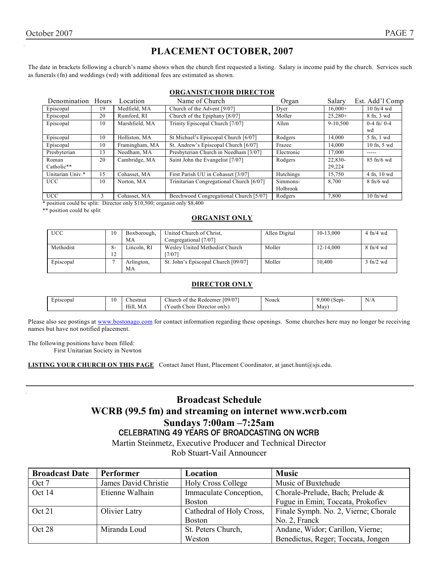# **PLACEMENT OCTOBER, 2007**

The date in brackets following a church's name shows when the church first requested a listing. Salary is income paid by the church. Services such as funerals (fn) and weddings (wd) with additional fees are estimated as shown.

#### **ORGANIST/CHOIR DIRECTOR**

| Denomination     | Hours | Location       | Name of Church                           | Organ      | Salary    | Est. Add'l Comp              |
|------------------|-------|----------------|------------------------------------------|------------|-----------|------------------------------|
| Episcopal        | 19    | Medfield, MA   | Church of the Advent [9/07]              | Dyer       | $16.000+$ | $10 \text{ ft}/4 \text{ wd}$ |
| Episcopal        | 20    | Rumford, RI    | Church of the Epiphany [8/07]            | Moller     | $25.280+$ | 8 fn, 3 wd                   |
| Episcopal        | 10    | Marshfield, MA | Trinity Episcopal Church [7/07]          | Allen      | 9-10.500  | $0-4$ fn/ $0-4$              |
|                  |       |                |                                          |            |           | wd                           |
| Episcopal        | 10    | Holliston, MA  | St Michael's Episcopal Church [6/07]     | Rodgers    | 14,000    | 5 fn, 1 wd                   |
| Episcopal        | 10    | Framingham, MA | St. Andrew's Episcopal Church [6/07]     | Frazee     | 14.000    | 10 fn, 5 wd                  |
| Presbyterian     | 13    | Needham, MA    | Presbyterian Church in Needham [3/07]    | Electronic | 17.000    | -----                        |
| Roman            | 20    | Cambridge, MA  | Saint John the Evangelist [7/07]         | Rodgers    | 22,830-   | $85 \text{ ft}/6$ wd         |
| Catholic**       |       |                |                                          |            | 29.224    |                              |
| Unitarian Univ.* | 15    | Cohasset, MA   | First Parish UU in Cohasset [3/07]       | Hutchings  | 15,750    | 4 fn, 10 wd                  |
| <b>UCC</b>       | 10    | Norton, MA     | Trinitarian Congregational Church [6/07] | Simmons-   | 8.700     | $8 \text{ fh/6}$ wd          |
|                  |       |                |                                          | Holbrook   |           |                              |
| <b>UCC</b>       | 3     | Cohasset, MA   | Beechwood Congregational Church [5/07]   | Rodgers    | 7,800     | $10$ fn/wd                   |

\* position could be split: Director only \$10,500; organist only \$8,400

\*\* position could be split

#### **ORGANIST ONLY**

| <b>UCC</b> | 10        | Boxborough, | United Church of Christ.            | Allen Digital | $10-13,000$ | $4 \text{ ft}/4 \text{ wd}$ |
|------------|-----------|-------------|-------------------------------------|---------------|-------------|-----------------------------|
|            |           | МA          | Congregational [7/07]               |               |             |                             |
| Methodist  | $8-$      | Lincoln. RI | Wesley United Methodist Church      | Moller        | 12-14.000   | $8 \text{ ft}/4 \text{ wd}$ |
|            | 12<br>- 2 |             | [7/07]                              |               |             |                             |
| Episcopal  |           | Arlington,  | St. John's Episcopal Church [09/07] | Moller        | 10.400      | $3 \text{ ft}$ /2 wd        |
|            |           | МA          |                                     |               |             |                             |

#### **DIRECTOR ONLY**

| $\overline{\phantom{0}}$<br>Episcopal | 10 | $\sim$<br>∠hestnut | [09/07]<br>e provincia de la contecidad de la contecidad de la contecidad de la contecidad de la contecidad de la contecidad de la contecidad de la contecidad de la contecidad de la contecidad de la contecidad de la contecidad de la<br>the<br>hurch_<br>: Redeemer<br>. Of | Noack | (Sept-<br>.000 | N/A |
|---------------------------------------|----|--------------------|---------------------------------------------------------------------------------------------------------------------------------------------------------------------------------------------------------------------------------------------------------------------------------|-------|----------------|-----|
|                                       |    | Hill.<br>МA        | --<br>$\sim$<br>$\sim$<br>. Choir Director only)<br>r outh '                                                                                                                                                                                                                    |       | May            |     |

Please also see postings at www.bostonago.com for contact information regarding these openings. Some churches here may no longer be receiving names but have not notified placement.

The following positions have been filled: First Unitarian Society in Newton

**LISTING YOUR CHURCH ON THIS PAGE** Contact Janet Hunt, Placement Coordinator, at janet.hunt@sjs.edu.

# **Broadcast Schedule WCRB (99.5 fm) and streaming on internet www.wcrb.com Sundays 7:00am –7:25am**  CELEBRATING 49 YEARS OF BROADCASTING ON WCRB

Martin Steinmetz, Executive Producer and Technical Director Rob Stuart-Vail Announcer

| <b>Broadcast Date</b> | Performer            | Location                  | <b>Music</b>                         |
|-----------------------|----------------------|---------------------------|--------------------------------------|
| Oct 7                 | James David Christie | <b>Holy Cross College</b> | Music of Buxtehude                   |
| Oct 14                | Etienne Walhain      | Immaculate Conception,    | Chorale-Prelude, Bach; Prelude &     |
|                       |                      | <b>Boston</b>             | Fugue in Emin; Toccata, Prokofiev    |
| Oct 21                | Olivier Latry        | Cathedral of Holy Cross,  | Finale Symph. No. 2, Vierne; Chorale |
|                       |                      | <b>Boston</b>             | No. 2, Franck                        |
| Oct 28                | Miranda Loud         | St. Peters Church,        | Andane, Widor; Carillon, Vierne;     |
|                       |                      | Weston                    | Benedictus, Reger; Toccata, Jongen   |